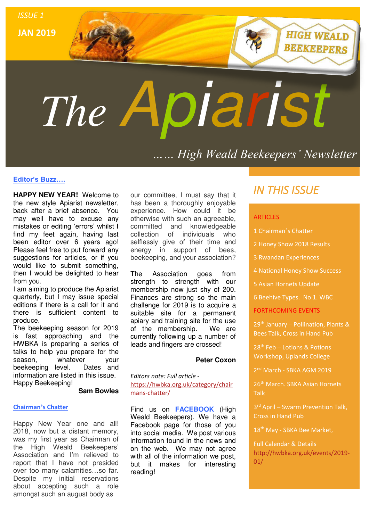

#### **Editor's Buzz….**

**HAPPY NEW YEAR!** Welcome to the new style Apiarist newsletter, back after a brief absence. You may well have to excuse any mistakes or editing 'errors' whilst I find my feet again, having last been editor over 6 years ago! Please feel free to put forward any suggestions for articles, or if you would like to submit something, then I would be delighted to hear from you.

I am aiming to produce the Apiarist quarterly, but I may issue special editions if there is a call for it and there is sufficient content to produce.

The beekeeping season for 2019 is fast approaching and the HWBKA is preparing a series of talks to help you prepare for the season, whatever your<br>beekeeping level. Dates and beekeeping level. information are listed in this issue. Happy Beekeeping!

#### **Sam Bowles**

#### **Chairman's Chatter**

Happy New Year one and all! 2018, now but a distant memory, was my first year as Chairman of the High Weald Beekeepers' Association and I'm relieved to report that I have not presided over too many calamities…so far. Despite my initial reservations about accepting such a role amongst such an august body as

our committee, I must say that it has been a thoroughly enjoyable experience. How could it be otherwise with such an agreeable, committed and knowledgeable collection of individuals who selflessly give of their time and energy in support of bees, beekeeping, and your association?

The Association goes from strength to strength with our membership now just shy of 200. Finances are strong so the main challenge for 2019 is to acquire a suitable site for a permanent apiary and training site for the use of the membership. We are currently following up a number of leads and fingers are crossed!

#### **Peter Coxon**

*Editors note: Full article*  [https://hwbka.org.uk/category/chair](https://hwbka.org.uk/category/chairmans-chatter/) [mans-chatter/](https://hwbka.org.uk/category/chairmans-chatter/)

Find us on **FACEBOOK** (High Weald Beekeepers). We have a Facebook page for those of you into social media. We post various information found in the news and on the web. We may not agree with all of the information we post, but it makes for interesting reading!

# *IN THIS ISSUE*

#### **ARTICLES**

- 1 Chairman's Chatter
- 2 Honey Show 2018 Results
- 3 Rwandan Experiences
- 4 National Honey Show Success

5 Asian Hornets Update

6 Beehive Types. No 1. WBC

FORTHCOMING EVENTS

 $29<sup>th</sup>$  January – Pollination, Plants & Bees Talk, Cross in Hand Pub

28<sup>th</sup> Feb – Lotions & Potions Workshop, Uplands College

2<sup>nd</sup> March - SBKA AGM 2019

26<sup>th</sup> March. SBKA Asian Hornets **Talk** 

3 rd April – Swarm Prevention Talk, Cross in Hand Pub

18<sup>th</sup> May - SBKA Bee Market,

Full Calendar & Details [http://hwbka.org.uk/events/2019-](http://hwbka.org.uk/events/2019-01/) [01/](http://hwbka.org.uk/events/2019-01/)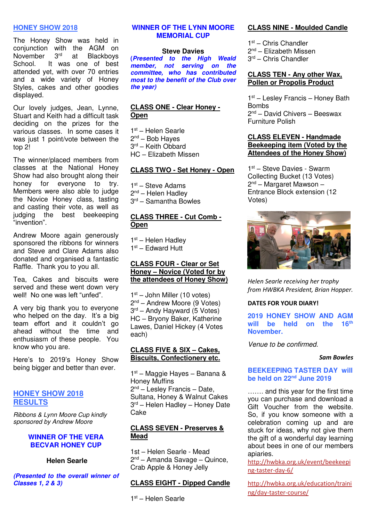#### **HONEY SHOW 2018**

The Honey Show was held in conjunction with the AGM on November 3<sup>rd</sup> at Blackboys<br>School. It was one of best It was one of best attended yet, with over 70 entries and a wide variety of Honey Styles, cakes and other goodies displayed.

Our lovely judges, Jean, Lynne, Stuart and Keith had a difficult task deciding on the prizes for the various classes. In some cases it was just 1 point/vote between the top<sub>2!</sub>

The winner/placed members from classes at the National Honey Show had also brought along their honey for everyone to try. Members were also able to judge the Novice Honey class, tasting and casting their vote, as well as judging the best beekeeping "invention".

Andrew Moore again generously sponsored the ribbons for winners and Steve and Clare Adams also donated and organised a fantastic Raffle. Thank you to you all.

Tea, Cakes and biscuits were served and these went down very well! No one was left "unfed".

A very big thank you to everyone who helped on the day. It's a big team effort and it couldn't go ahead without the time and enthusiasm of these people. You know who you are.

Here's to 2019's Honey Show being bigger and better than ever.

# **HONEY SHOW 2018 RESULTS**

Ribbons & Lynn Moore Cup kindly sponsored by Andrew Moore

#### **WINNER OF THE VERA BECVAR HONEY CUP**

#### **Helen Searle**

**(Presented to the overall winner of Classes 1, 2 & 3)**

#### **WINNER OF THE LYNN MOORE MEMORIAL CUP**

#### **Steve Davies**

**(Presented to the High Weald member, not serving on the committee, who has contributed most to the benefit of the Club over the year)**

#### **CLASS ONE - Clear Honey - Open**

1 st – Helen Searle 2<sup>nd</sup> – Bob Hayes 3 rd – Keith Obbard HC – Elizabeth Missen

#### **CLASS TWO - Set Honey - Open**

1 st – Steve Adams 2<sup>nd</sup> – Helen Hadley 3 rd – Samantha Bowles

### **CLASS THREE - Cut Comb - Open**

1<sup>st</sup> – Helen Hadley 1 st – Edward Hutt

## **CLASS FOUR - Clear or Set Honey – Novice (Voted for by the attendees of Honey Show)**

1 st – John Miller (10 votes) 2<sup>nd</sup> – Andrew Moore (9 Votes) 3 rd – Andy Hayward (5 Votes) HC – Bryony Baker, Katherine Lawes, Daniel Hickey (4 Votes each)

## **CLASS FIVE & SIX – Cakes, Biscuits, Confectionery etc.**

1 st – Maggie Hayes – Banana & Honey Muffins 2<sup>nd</sup> – Lesley Francis – Date, Sultana, Honey & Walnut Cakes 3 rd – Helen Hadley – Honey Date Cake

## **CLASS SEVEN - Preserves & Mead**

1st – Helen Searle - Mead 2<sup>nd</sup> – Amanda Savage – Quince, Crab Apple & Honey Jelly

## **CLASS EIGHT - Dipped Candle**

1 st – Helen Searle

#### **CLASS NINE - Moulded Candle**

1 st – Chris Chandler 2<sup>nd</sup> – Elizabeth Missen 3 rd – Chris Chandler

#### **CLASS TEN - Any other Wax, Pollen or Propolis Product**

1 st – Lesley Francis – Honey Bath **Bombs** 2 nd – David Chivers – Beeswax Furniture Polish

#### **CLASS ELEVEN - Handmade Beekeeping item (Voted by the Attendees of the Honey Show)**

1 st – Steve Davies - Swarm Collecting Bucket (13 Votes) 2<sup>nd</sup> – Margaret Mawson – Entrance Block extension (12 Votes)



*Helen Searle receiving her trophy from HWBKA President, Brian Hopper.* 

#### **DATES FOR YOUR DIARY!**

**2019 HONEY SHOW AND AGM will be held on the 16th November.** 

Venue to be confirmed.

#### *Sam Bowles*

## **BEEKEEPING TASTER DAY will be held on 22nd June 2019**

……. and this year for the first time you can purchase and download a Gift Voucher from the website. So, if you know someone with a celebration coming up and are stuck for ideas, why not give them the gift of a wonderful day learning about bees in one of our members apiaries.

[http://hwbka.org.uk/event/beekeepi](http://hwbka.org.uk/event/beekeeping-taster-day-6/) [ng-taster-day-6/](http://hwbka.org.uk/event/beekeeping-taster-day-6/)

[http://hwbka.org.uk/education/traini](http://hwbka.org.uk/education/training/day-taster-course/) [ng/day-taster-course/](http://hwbka.org.uk/education/training/day-taster-course/)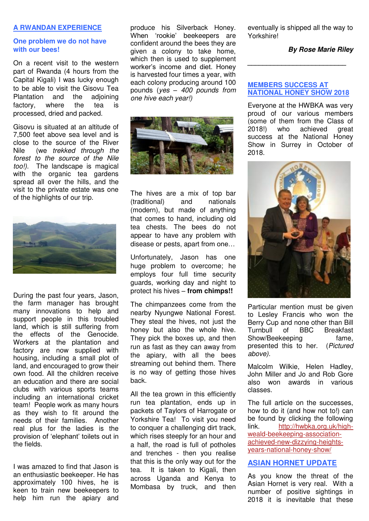#### **A RWANDAN EXPERIENCE**

## **One problem we do not have with our bees!**

On a recent visit to the western part of Rwanda (4 hours from the Capital Kigali) I was lucky enough to be able to visit the Gisovu Tea Plantation and the adjoining factory, where the tea is processed, dried and packed.

Gisovu is situated at an altitude of 7,500 feet above sea level and is close to the source of the River Nile (we trekked through the forest to the source of the Nile too!). The landscape is magical with the organic tea gardens spread all over the hills, and the visit to the private estate was one of the highlights of our trip.



During the past four years, Jason, the farm manager has brought many innovations to help and support people in this troubled land, which is still suffering from the effects of the Genocide. Workers at the plantation and factory are now supplied with housing, including a small plot of land, and encouraged to grow their own food. All the children receive an education and there are social clubs with various sports teams including an international cricket team! People work as many hours as they wish to fit around the needs of their families. Another real plus for the ladies is the provision of 'elephant' toilets out in the fields.

I was amazed to find that Jason is an enthusiastic beekeeper. He has approximately 100 hives, he is keen to train new beekeepers to help him run the apiary and

produce his Silverback Honey. When 'rookie' beekeepers are confident around the bees they are given a colony to take home, which then is used to supplement worker's income and diet. Honey is harvested four times a year, with each colony producing around 100 pounds (yes *–* 400 pounds from one hive each year!)



The hives are a mix of top bar (traditional) and nationals (modern), but made of anything that comes to hand, including old tea chests. The bees do not appear to have any problem with disease or pests, apart from one…

Unfortunately, Jason has one huge problem to overcome; he employs four full time security guards, working day and night to protect his hives – **from chimps!!**

The chimpanzees come from the nearby Nyungwe National Forest. They steal the hives, not just the honey but also the whole hive. They pick the boxes up, and then run as fast as they can away from the apiary, with all the bees streaming out behind them. There is no way of getting those hives back.

All the tea grown in this efficiently run tea plantation, ends up in packets of Taylors of Harrogate or Yorkshire Tea! To visit you need to conquer a challenging dirt track, which rises steeply for an hour and a half, the road is full of potholes and trenches - then you realise that this is the only way out for the tea. It is taken to Kigali, then across Uganda and Kenya to Mombasa by truck, and then

eventually is shipped all the way to Yorkshire!

**By Rose Marie Riley** 

## **MEMBERS SUCCESS AT NATIONAL HONEY SHOW 2018**

**\_\_\_\_\_\_\_\_\_\_\_\_\_\_\_\_\_\_\_\_\_\_\_\_\_\_**

Everyone at the HWBKA was very proud of our various members (some of them from the Class of 2018!) who achieved great success at the National Honey Show in Surrey in October of 2018.



Particular mention must be given to Lesley Francis who won the Berry Cup and none other than Bill Turnbull of BBC Breakfast Show/Beekeeping fame, presented this to her. (Pictured above).

Malcolm Wilkie, Helen Hadley, John Miller and Jo and Rob Gore also won awards in various classes.

The full article on the successes, how to do it (and how not to!) can be found by clicking the following link. [http://hwbka.org.uk/high](http://hwbka.org.uk/high-weald-beekeeping-association-achieved-new-dizzying-heights-years-national-honey-show/)[weald-beekeeping-association](http://hwbka.org.uk/high-weald-beekeeping-association-achieved-new-dizzying-heights-years-national-honey-show/)[achieved-new-dizzying-heights](http://hwbka.org.uk/high-weald-beekeeping-association-achieved-new-dizzying-heights-years-national-honey-show/)[years-national-honey-show/](http://hwbka.org.uk/high-weald-beekeeping-association-achieved-new-dizzying-heights-years-national-honey-show/)

# **ASIAN HORNET UPDATE**

As you know the threat of the Asian Hornet is very real. With a number of positive sightings in 2018 it is inevitable that these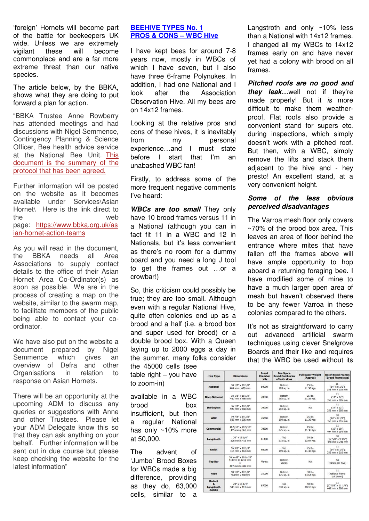'foreign' Hornets will become part of the battle for beekeepers UK wide. Unless we are extremely vigilant these will become commonplace and are a far more extreme threat than our native species.

The article below, by the BBKA, shows what they are doing to put forward a plan for action.

"BBKA Trustee Anne Rowberry has attended meetings and had discussions with Nigel Semmence, Contingency Planning & Science Officer, Bee health advice service at the National Bee Unit. [This](https://www.bbka.org.uk/Handlers/Download.ashx?IDMF=e98f1b30-cc38-41db-a52b-a7da613c2fa6)  [document is the summary of the](https://www.bbka.org.uk/Handlers/Download.ashx?IDMF=e98f1b30-cc38-41db-a52b-a7da613c2fa6)  [protocol that has been agreed.](https://www.bbka.org.uk/Handlers/Download.ashx?IDMF=e98f1b30-cc38-41db-a52b-a7da613c2fa6)

Further information will be posted on the website as it becomes available under Services\Asian Hornet\ Here is the link direct to the web page: [https://www.bbka.org.uk/as](https://www.bbka.org.uk/asian-hornet-action-teams) [ian-hornet-action-teams](https://www.bbka.org.uk/asian-hornet-action-teams)

As you will read in the document, the BBKA needs all Area Associations to supply contact details to the office of their Asian Hornet Area Co-Ordinator(s) as soon as possible. We are in the process of creating a map on the website, similar to the swarm map, to facilitate members of the public being able to contact your coordinator.

We have also put on the website a document prepared by Nigel Semmence which gives an overview of Defra and other Organisations in relation to response on Asian Hornets.

There will be an opportunity at the upcoming ADM to discuss any queries or suggestions with Anne and other Trustees. Please let your ADM Delegate know this so that they can ask anything on your behalf. Further information will be sent out in due course but please keep checking the website for the latest information"

## **BEEHIVE TYPES No. 1 PROS & CONS – WBC Hive**

I have kept bees for around 7-8 years now, mostly in WBCs of which I have seven, but I also have three 6-frame Polynukes. In addition, I had one National and I look after the Association Observation Hive. All my bees are on 14x12 frames.

Looking at the relative pros and cons of these hives, it is inevitably from my personal experience…and I must state before I start that I'm an unabashed WBC fan!

Firstly, to address some of the more frequent negative comments I've heard:

**WBCs are too small** They only have 10 brood frames versus 11 in a National (although you can in fact fit 11 in a WBC and 12 in Nationals, but it's less convenient as there's no room for a dummy board and you need a long J tool to get the frames out …or a crowbar!)

So, this criticism could possibly be true; they are too small. Although even with a regular National Hive, quite often colonies end up as a brood and a half (i.e. a brood box and super used for brood) or a double brood box. With a Queen laying up to 2000 eggs a day in the summer, many folks consider

the 45000 cells (see table right – you have to zoom-in)

available in a WBC brood box insufficient, but then a regular National has only ~10% more at 50,000.

The advent of 'Jumbo' Brood Boxes for WBCs made a big difference, providing as they do, 63,000 cells, similar to a

Langstroth and only ~10% less than a National with 14x12 frames. I changed all my WBCs to 14x12 frames early on and have never yet had a colony with brood on all frames.

**Pitched roofs are no good and they leak…**well not if they're made properly! But it is more difficult to make them weatherproof. Flat roofs also provide a convenient stand for supers etc. during inspections, which simply doesn't work with a pitched roof. But then, with a WBC, simply remove the lifts and stack them adiacent to the hive and - hev presto! An excellent stand, at a very convenient height.

# **Some of the less obvious perceived disadvantages**

The Varroa mesh floor only covers ~70% of the brood box area. This leaves an area of floor behind the entrance where mites that have fallen off the frames above will have ample opportunity to hop aboard a returning foraging bee. I have modified some of mine to have a much larger open area of mesh but haven't observed there to be any fewer Varroa in these colonies compared to the others.

It's not as straightforward to carry out advanced artificial swarm techniques using clever Snelgrove Boards and their like and requires that the WBC be used without its

| <b>Hive Type</b>                            | <b>Dimensions</b>                                             | Brood<br>Chamber<br>cells | <b>Bee Space</b><br><b>Brood Comb area</b><br>of both sides | <b>Full Super Weight</b><br>(Approx) | <b>No of Brood Frames</b><br>(Brood Frame size)       |
|---------------------------------------------|---------------------------------------------------------------|---------------------------|-------------------------------------------------------------|--------------------------------------|-------------------------------------------------------|
| <b>National</b>                             | 18 1/8" x 18 1/8"<br>460 mm x 460 mm                          | 50000                     | Bottom<br>199 sq. in                                        | <b>25 版</b><br>11.36 Kgs             | 11<br>$(14'' \times 8)1/2''$<br>356 mm x 216 mm       |
| <b>Deep National</b>                        | 18 1/8" x 18 1/8"<br>460 mm x 460 mm                          | 70000                     | Bottom<br>292 sq. in                                        | $25$ lbs<br>11.36 Kgs                | 11<br>$(14" \times 12")$<br>356 mm x 305 mm           |
| <b>Dartington</b>                           | 36 1/4" x 18 1/8"<br>920 mm x 460 mm                          | 70000                     | Bottom<br>292 sq. in                                        | NA                                   | 11<br>$(14'' \times 12'')$<br>356 mm x 305 mm         |
| <b>WBC</b>                                  | 19 7/8" x 19 7/8"<br>505 mm x 505 mm                          | 45000                     | Bottom<br>199 sq. in                                        | $25$ lbs<br>11.36 Kgs                | 10<br>$(14'' \times 81/2'')$<br>356 mm x 216 mm       |
| Commercial                                  | 18 5/16" x 18 5/16"<br>465 mm x 465 mm                        | 70500                     | <b>Bottom</b><br>275 sq. in                                 | $75$ the<br>11.36 Kgs                | 11<br>$(16" \times 10")$<br>407 mm x 254 mm           |
| Langstroth                                  | 20" x 16 1/4"<br>508 mm x 413 mm                              | 61400                     | Top<br>272 sq. in                                           | 30 lbs<br>13.64 Kgs                  | 10<br>$(175/8" \times 91/2")$<br>448 mm x 241 mm      |
| Smith                                       | 16 3/8" x 18 1/4"<br>416 mm x 463 mm                          | 50000                     | Top<br>199 sq. in                                           | $25$ lbs<br>11.36 Kgs                | 11<br>$(14" \times 8 \frac{1}{2})$<br>356 mm x 216 mm |
| <b>Top Bar</b>                              | 36 to 48" x 16 to 19"<br>914mm to 1219 mm<br>407 mm to 482 mm | Varies                    | Bottom<br>Varies                                            | <b>NA</b>                            | NA:<br>(varies per hive)                              |
| Rose                                        | 18 1/8" x 18 1/8"<br>460mm x 460mm                            | 35000                     | Bottom<br>175 sq. in                                        | 30 lbs<br>13.64 Kgs                  | 11<br>(national frame<br>cut down)                    |
| <b>Dadant</b><br>Langstroth<br><b>Jumbo</b> | $20'' \times 16$ $1/4''$<br>508 mm x 413 mm                   | 85000                     | Top<br>340 sq. in                                           | 40 lbs<br>18.18 Kgs                  | 11<br>$(17.5/8'' \times 11.1/4'')$<br>448 mm x 286 mm |